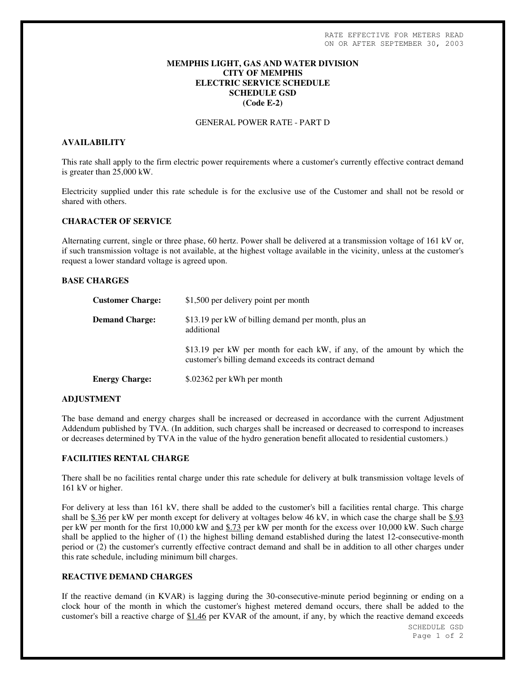### **MEMPHIS LIGHT, GAS AND WATER DIVISION CITY OF MEMPHIS ELECTRIC SERVICE SCHEDULE SCHEDULE GSD (Code E-2)**

#### GENERAL POWER RATE - PART D

### **AVAILABILITY**

This rate shall apply to the firm electric power requirements where a customer's currently effective contract demand is greater than 25,000 kW.

Electricity supplied under this rate schedule is for the exclusive use of the Customer and shall not be resold or shared with others.

#### **CHARACTER OF SERVICE**

Alternating current, single or three phase, 60 hertz. Power shall be delivered at a transmission voltage of 161 kV or, if such transmission voltage is not available, at the highest voltage available in the vicinity, unless at the customer's request a lower standard voltage is agreed upon.

#### **BASE CHARGES**

| <b>Customer Charge:</b> | \$1,500 per delivery point per month                                                                                              |
|-------------------------|-----------------------------------------------------------------------------------------------------------------------------------|
| <b>Demand Charge:</b>   | \$13.19 per kW of billing demand per month, plus an<br>additional                                                                 |
|                         | \$13.19 per kW per month for each kW, if any, of the amount by which the<br>customer's billing demand exceeds its contract demand |
| <b>Energy Charge:</b>   | \$.02362 per kWh per month                                                                                                        |

#### **ADJUSTMENT**

The base demand and energy charges shall be increased or decreased in accordance with the current Adjustment Addendum published by TVA. (In addition, such charges shall be increased or decreased to correspond to increases or decreases determined by TVA in the value of the hydro generation benefit allocated to residential customers.)

#### **FACILITIES RENTAL CHARGE**

There shall be no facilities rental charge under this rate schedule for delivery at bulk transmission voltage levels of 161 kV or higher.

For delivery at less than 161 kV, there shall be added to the customer's bill a facilities rental charge. This charge shall be \$.36 per kW per month except for delivery at voltages below 46 kV, in which case the charge shall be \$.93 per kW per month for the first 10,000 kW and \$.73 per kW per month for the excess over 10,000 kW. Such charge shall be applied to the higher of (1) the highest billing demand established during the latest 12-consecutive-month period or (2) the customer's currently effective contract demand and shall be in addition to all other charges under this rate schedule, including minimum bill charges.

## **REACTIVE DEMAND CHARGES**

If the reactive demand (in KVAR) is lagging during the 30-consecutive-minute period beginning or ending on a clock hour of the month in which the customer's highest metered demand occurs, there shall be added to the customer's bill a reactive charge of \$1.46 per KVAR of the amount, if any, by which the reactive demand exceeds